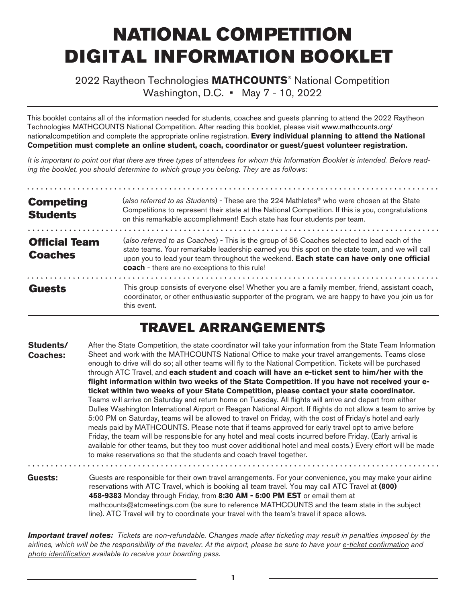# NATIONAL COMPETITION DIGITAL INFORMATION BOOKLET

#### 2022 Raytheon Technologies **MATHCOUNTS®** National Competition Washington, D.C. • May 7 - 10, 2022

This booklet contains all of the information needed for students, coaches and guests planning to attend the 2022 Raytheon Technologies MATHCOUNTS National Competition. After reading this booklet, please visit www.mathcounts.org/ nationalcompetition and complete the appropriate online registration. **Every individual planning to attend the National Competition must complete an online student, coach, coordinator or guest/guest volunteer registration.** 

*It is important to point out that there are three types of attendees for whom this Information Booklet is intended. Before reading the booklet, you should determine to which group you belong. They are as follows:*

| <b>Competing</b><br><b>Students</b>    | (also referred to as Students) - These are the 224 Mathletes <sup>®</sup> who were chosen at the State<br>Competitions to represent their state at the National Competition. If this is you, congratulations<br>on this remarkable accomplishment! Each state has four students per team.                                                     |  |  |
|----------------------------------------|-----------------------------------------------------------------------------------------------------------------------------------------------------------------------------------------------------------------------------------------------------------------------------------------------------------------------------------------------|--|--|
| <b>Official Team</b><br><b>Coaches</b> | (also referred to as Coaches) - This is the group of 56 Coaches selected to lead each of the<br>state teams. Your remarkable leadership earned you this spot on the state team, and we will call<br>upon you to lead your team throughout the weekend. Each state can have only one official<br>coach - there are no exceptions to this rule! |  |  |
| <b>Guests</b>                          | This group consists of everyone else! Whether you are a family member, friend, assistant coach,<br>coordinator, or other enthusiastic supporter of the program, we are happy to have you join us for<br>this event.                                                                                                                           |  |  |

#### TRAVEL ARRANGEMENTS

After the State Competition, the state coordinator will take your information from the State Team Information Sheet and work with the MATHCOUNTS National Office to make your travel arrangements. Teams close enough to drive will do so; all other teams will fly to the National Competition. Tickets will be purchased through ATC Travel, and **each student and coach will have an e-ticket sent to him/her with the flight information within two weeks of the State Competition**. **If you have not received your eticket within two weeks of your State Competition, please contact your state coordinator.** Teams will arrive on Saturday and return home on Tuesday. All flights will arrive and depart from either Dulles Washington International Airport or Reagan National Airport. If flights do not allow a team to arrive by 5:00 PM on Saturday, teams will be allowed to travel on Friday, with the cost of Friday's hotel and early meals paid by MATHCOUNTS. Please note that if teams approved for early travel opt to arrive before Friday, the team will be responsible for any hotel and meal costs incurred before Friday. (Early arrival is available for other teams, but they too must cover additional hotel and meal costs.) Every effort will be made to make reservations so that the students and coach travel together. **Students/ Coaches:** 

Guests are responsible for their own travel arrangements. For your convenience, you may make your airline reservations with ATC Travel, which is booking all team travel. You may call ATC Travel at **(800) 458-9383** Monday through Friday, from **8:30 AM - 5:00 PM EST** or email them at mathcounts@atcmeetings.com (be sure to reference MATHCOUNTS and the team state in the subject line). ATC Travel will try to coordinate your travel with the team's travel if space allows. **Guests:** 

*Important travel notes: Tickets are non-refundable. Changes made after ticketing may result in penalties imposed by the airlines, which will be the responsibility of the traveler. At the airport, please be sure to have your e-ticket confirmation and photo identification available to receive your boarding pass.*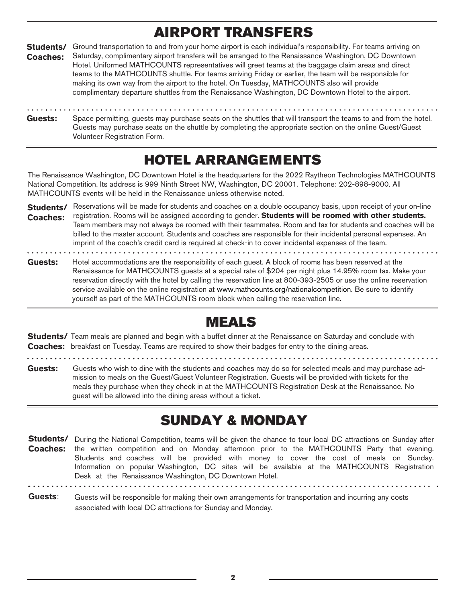#### AIRPORT TRANSFERS

Students/ Ground transportation to and from your home airport is each individual's responsibility. For teams arriving on Saturday, complimentary airport transfers will be arranged to the Renaissance Washington, DC Downtown Hotel. Uniformed MATHCOUNTS representatives will greet teams at the baggage claim areas and direct teams to the MATHCOUNTS shuttle. For teams arriving Friday or earlier, the team will be responsible for making its own way from the airport to the hotel. On Tuesday, MATHCOUNTS also will provide complimentary departure shuttles from the Renaissance Washington, DC Downtown Hotel to the airport. **Coaches:** 

Space permitting, guests may purchase seats on the shuttles that will transport the teams to and from the hotel. Guests may purchase seats on the shuttle by completing the appropriate section on the online Guest/Guest Volunteer Registration Form. **Guests:** 

### HOTEL ARRANGEMENTS

The Renaissance Washington, DC Downtown Hotel is the headquarters for the 2022 Raytheon Technologies MATHCOUNTS National Competition. Its address is 999 Ninth Street NW, Washington, DC 20001. Telephone: 202-898-9000. All MATHCOUNTS events will be held in the Renaissance unless otherwise noted.

Students/ Reservations will be made for students and coaches on a double occupancy basis, upon receipt of your on-line registration. Rooms will be assigned according to gender. **Students will be roomed with other students. Coaches:**  Team members may not always be roomed with their teammates. Room and tax for students and coaches will be billed to the master account. Students and coaches are responsible for their incidental personal expenses. An imprint of the coach's credit card is required at check-in to cover incidental expenses of the team. 

Hotel accommodations are the responsibility of each guest. A block of rooms has been reserved at the Renaissance for MATHCOUNTS guests at a special rate of \$204 per night plus 14.95% room tax. Make your reservation directly with the hotel by calling the reservation line at 800-393-2505 or use the online reservation service available on the online registration at www.mathcounts.org/nationalcompetition. Be sure to identify yourself as part of the MATHCOUNTS room block when calling the reservation line. **Guests:** 

#### MEALS

**Students/** Team meals are planned and begin with a buffet dinner at the Renaissance on Saturday and conclude with **Coaches:**  breakfast on Tuesday. Teams are required to show their badges for entry to the dining areas.

Guests: Guests who wish to dine with the students and coaches may do so for selected meals and may purchase admission to meals on the Guest/Guest Volunteer Registration. Guests will be provided with tickets for the meals they purchase when they check in at the MATHCOUNTS Registration Desk at the Renaissance. No guest will be allowed into the dining areas without a ticket.

### SUNDAY & MONDAY

Students/ During the National Competition, teams will be given the chance to tour local DC attractions on Sunday after **Coaches:**  the written competition and on Monday afternoon prior to the MATHCOUNTS Party that evening. Students and coaches will be provided with money to cover the cost of meals on Sunday. Information on popular Washington, DC sites will be available at the MATHCOUNTS Registration Desk at the Renaissance Washington, DC Downtown Hotel.

**Guests**: Guests will be responsible for making their own arrangements for transportation and incurring any costs associated with local DC attractions for Sunday and Monday.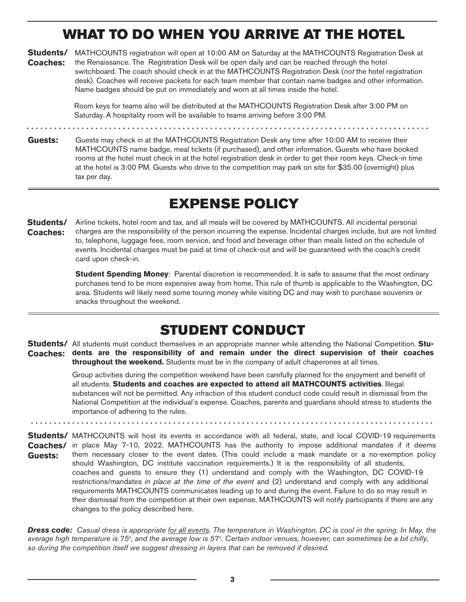### WHAT TO DO WHEN YOU ARRIVE AT THE HOTEL

Students/ MATHCOUNTS registration will open at 10:00 AM on Saturday at the MATHCOUNTS Registration Desk at **Coaches:**  the Renaissance. The Registration Desk will be open daily and can be reached through the hotel switchboard. The coach should check in at the MATHCOUNTS Registration Desk (not the hotel registration desk). Coaches will receive packets for each team member that contain name badges and other information. Name badges should be put on immediately and worn at all times inside the hotel.

> Room keys for teams also will be distributed at the MATHCOUNTS Registration Desk after 3:00 PM on Saturday. A hospitality room will be available to teams arriving before 3:00 PM.

**Guests:** Guests may check in at the MATHCOUNTS Registration Desk any time after 10:00 AM to receive their MATHCOUNTS name badge, meal tickets (if purchased), and other information. Guests who have booked rooms at the hotel must check in at the hotel registration desk in order to get their room keys. Check-in time at the hotel is 3:00 PM. Guests who drive to the competition may park on site for \$35.00 (overnight) plus tax per day.

### EXPENSE POLICY

Airline tickets, hotel room and tax, and all meals will be covered by MATHCOUNTS. All incidental personal charges are the responsibility of the person incurring the expense. Incidental charges include, but are not limited to, telephone, luggage fees, room service, and food and beverage other than meals listed on the schedule of events. Incidental charges must be paid at time of check-out and will be guaranteed with the coach's credit card upon check-in. **Students/ Coaches:** 

> **Student Spending Money**: Parental discretion is recommended. It is safe to assume that the most ordinary purchases tend to be more expensive away from home. This rule of thumb is applicable to the Washington, DC area. Students will likely need some touring money while visiting DC and may wish to purchase souvenirs or snacks throughout the weekend.

#### STUDENT CONDUCT

Students/ All students must conduct themselves in an appropriate manner while attending the National Competition. Stu**dents are the responsibility of and remain under the direct supervision of their coaches Coaches: throughout the weekend.** Students must be in the company of adult chaperones at all times.

> Group activities during the competition weekend have been carefully planned for the enjoyment and benefit of all students. **Students and coaches are expected to attend all MATHCOUNTS activities**. Illegal substances will not be permitted. Any infraction of this student conduct code could result in dismissal from the National Competition at the individual's expense. Coaches, parents and guardians should stress to students the importance of adhering to the rules.

> > . . . . . . . . . . . . . . . .

Students/ MATHCOUNTS will host its events in accordance with all federal, state, and local COVID-19 requirements in place May 7-10, 2022. MATHCOUNTS has the authority to impose additional mandates if it deems them necessary closer to the event dates. (This could include a mask mandate or a no-exemption policy should Washington, DC institute vaccination requirements.) It is the responsibility of all students, coaches and guests to ensure they (1) understand and comply with the Washington, DC COVID-19 restrictions/mandates in place at the time of the event and (2) understand and comply with any additional requirements MATHCOUNTS communicates leading up to and during the event. Failure to do so may result in their dismissal from the competition at their own expense. MATHCOUNTS will notify participants if there are any changes to the policy described here. **Coaches/ Guests:**

. . . . . . . . . . . . . . .

*Dress code: Casual dress is appropriate for all events*. *The temperature in* Washington, DC *is* cool *in the spring. In May, the*  average high temperature is 75°, and the average low is 57°. Certain indoor venues, however, can sometimes be a bit chilly, *so during the competition itself we suggest dressing in layers that can be removed if desired.*